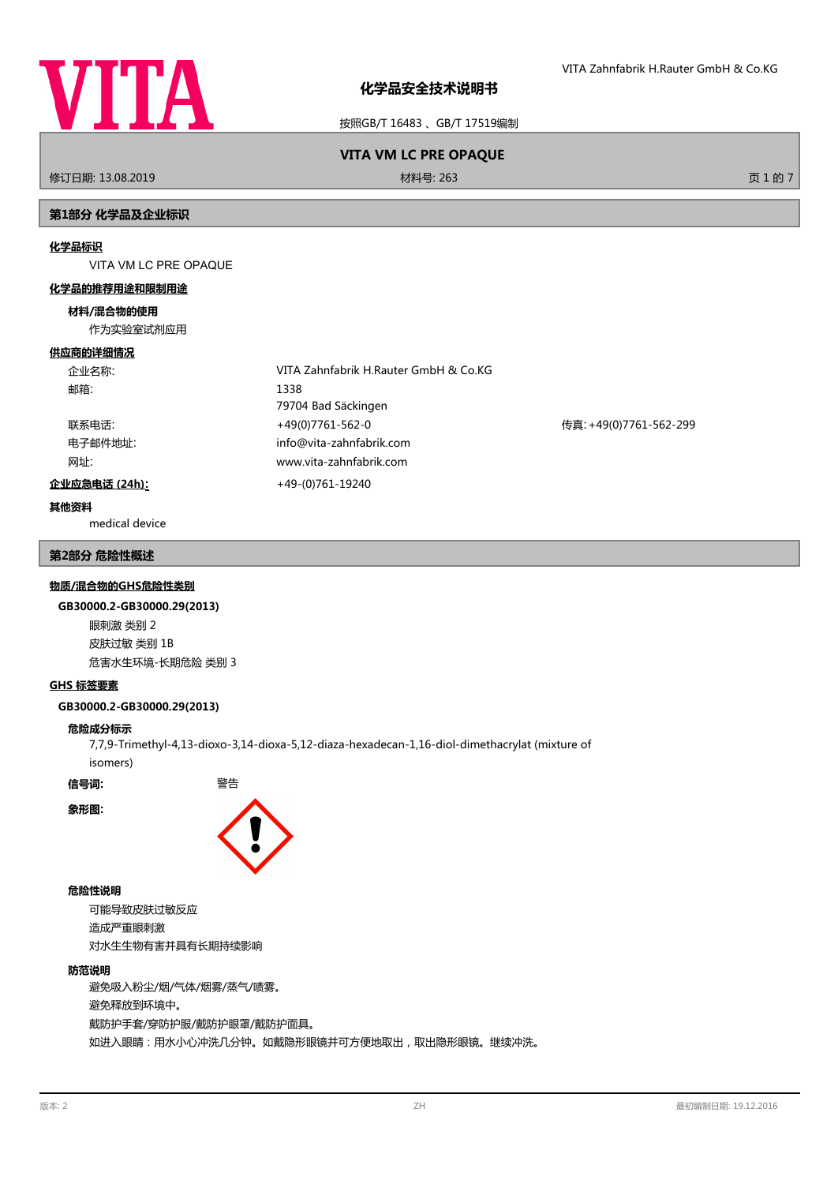

按照GB/T 16483 、GB/T 17519编制

# **VITA VM LC PRE OPAQUE**

修订日期: 13.08.2019 材料号: 263 页 1 的 7

## **第1部分 化学品及企业标识**

#### **化学品标识**

VITA VM LC PRE OPAQUE

#### **化学品的推荐用途和限制用途**

#### **材料/混合物的使用**

作为实验室试剂应用

#### **供应商的详细情况**

| 企业名称:         | VITA Zahnfabrik H.Rauter GmbH & Co.KG |                        |
|---------------|---------------------------------------|------------------------|
| 邮箱:           | 1338                                  |                        |
|               | 79704 Bad Säckingen                   |                        |
| 联系电话:         | +49(0)7761-562-0                      | 传真: +49(0)7761-562-299 |
| 电子邮件地址:       | info@vita-zahnfabrik.com              |                        |
| 网址:           | www.vita-zahnfabrik.com               |                        |
| 企业应急电话 (24h): | +49-(0)761-19240                      |                        |

## **其他资料**

medical device

#### **第2部分 危险性概述**

#### **物质/混合物的GHS危险性类别**

#### **GB30000.2-GB30000.29(2013)**

眼刺激 类别 2 皮肤过敏 类别 1B 危害水生环境-长期危险 类别 3

## **GHS 标签要素**

#### **GB30000.2-GB30000.29(2013)**

#### **危险成分标示**

7,7,9-Trimethyl-4,13-dioxo-3,14-dioxa-5,12-diaza-hexadecan-1,16-diol-dimethacrylat (mixture of isomers)

**信号词:** 警告

**象形图:**



#### **危险性说明**

可能导致皮肤过敏反应 造成严重眼刺激 对水生生物有害并具有长期持续影响

#### **防范说明**

避免吸入粉尘/烟/气体/烟雾/蒸气/啧雾。 避免释放到环境中。 戴防护手套/穿防护服/戴防护眼罩/戴防护面具。 如进入眼睛:用水小心冲洗几分钟。如戴隐形眼镜并可方便地取出,取出隐形眼镜。继续冲洗。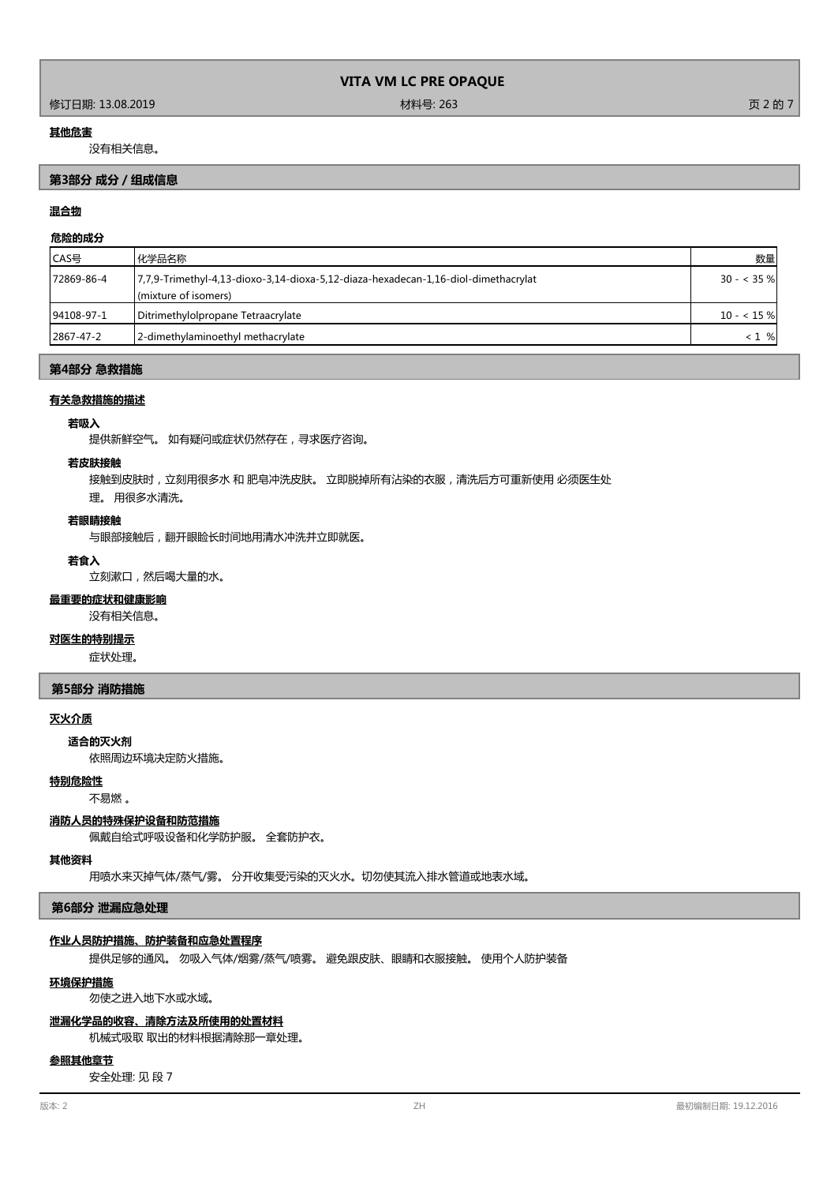#### 修订日期: 13.08.2019 材料号: 263 页 2 的 7

#### **其他危害**

没有相关信息。

## **第3部分 成分/组成信息**

## **混合物**

## **危险的成分**

| CAS号       | 化学品名称                                                                              | 数量           |
|------------|------------------------------------------------------------------------------------|--------------|
| 72869-86-4 | 7,7,9-Trimethyl-4,13-dioxo-3,14-dioxa-5,12-diaza-hexadecan-1,16-diol-dimethacrylat | $30 - 35 \%$ |
|            | (mixture of isomers)                                                               |              |
| 94108-97-1 | Ditrimethylolpropane Tetraacrylate                                                 | $10 - 15%$   |
| 2867-47-2  | 2-dimethylaminoethyl methacrylate                                                  | $< 1$ %      |

#### **第4部分 急救措施**

#### **有关急救措施的描述**

### **若吸入**

提供新鲜空气。 如有疑问或症状仍然存在,寻求医疗咨询。

#### **若皮肤接触**

接触到皮肤时,立刻用很多水 和 肥皂冲洗皮肤。 立即脱掉所有沾染的衣服,清洗后方可重新使用 必须医生处

理。 用很多水清洗。

## **若眼睛接触**

与眼部接触后,翻开眼睑长时间地用清水冲洗并立即就医。

## **若食入**

立刻漱口,然后喝大量的水。

## **最重要的症状和健康影响**

没有相关信息。

## **对医生的特别提示**

症状处理。

#### **第5部分 消防措施**

#### **灭火介质**

依照周边环境决定防火措施。 **适合的灭火剂**

#### **特别危险性**

不易燃 。

#### **消防人员的特殊保护设备和防范措施**

佩戴自给式呼吸设备和化学防护服。 全套防护衣。

#### **其他资料**

用喷水来灭掉气体/蒸气/雾。 分开收集受污染的灭火水。切勿使其流入排水管道或地表水域。

#### **第6部分 泄漏应急处理**

#### **作业人员防护措施、防护装备和应急处置程序**

提供足够的通风。 勿吸入气体/烟雾/蒸气/喷雾。 避免跟皮肤、眼睛和衣服接触。 使用个人防护装备

#### **环境保护措施**

勿使之进入地下水或水域。

#### **泄漏化学品的收容、清除方法及所使用的处置材料**

机械式吸取 取出的材料根据清除那一章处理。

#### **参照其他章节**

安全处理: 见 段 7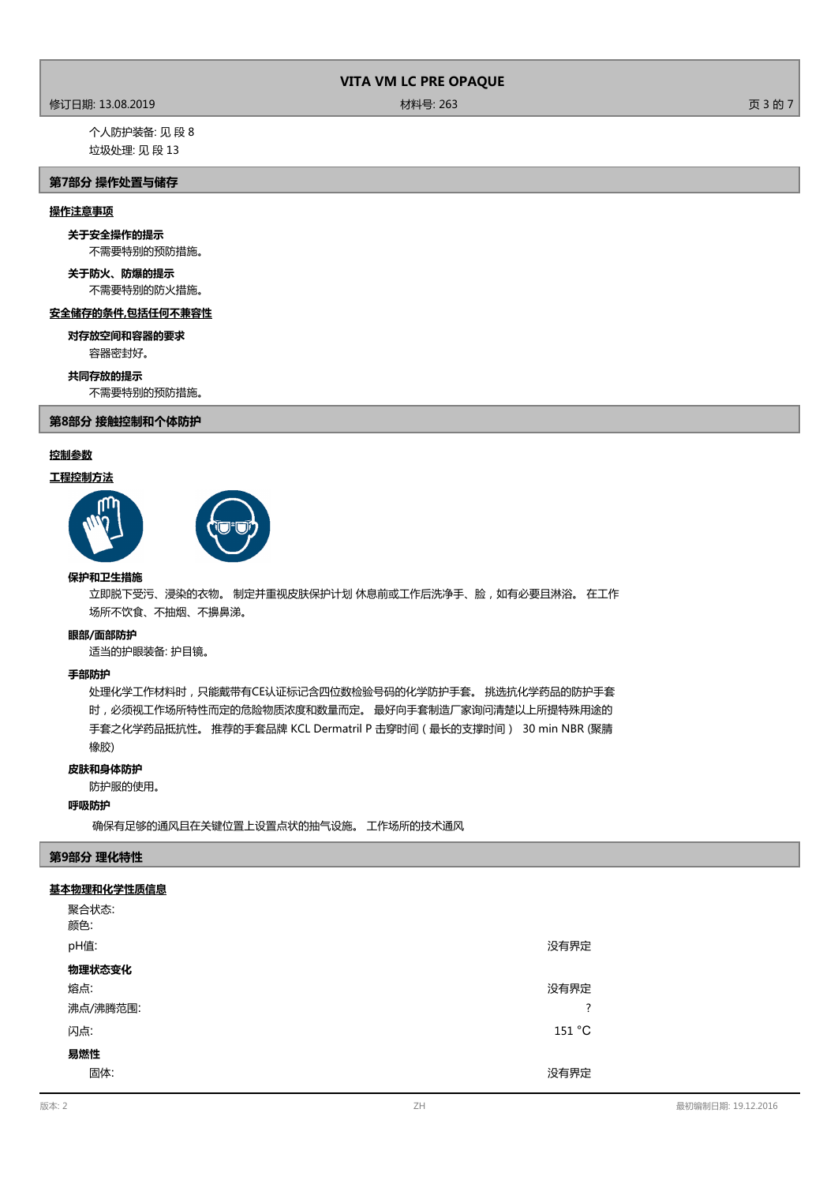#### 修订日期: 13.08.2019 材料号: 263 页 3 的 7

个人防护装备: 见 段 8 垃圾处理: 见 段 13

## **第7部分 操作处置与储存**

## **操作注意事项**

## **关于安全操作的提示**

不需要特别的预防措施。

# **关于防火、防爆的提示**

不需要特别的防火措施。

## **安全储存的条件,包括任何不兼容性**

容器密封好。 **对存放空间和容器的要求**

#### **共同存放的提示**

不需要特别的预防措施。

#### **第8部分 接触控制和个体防护**

## **控制参数**

## **工程控制方法**





#### **保护和卫生措施**

立即脱下受污、浸染的衣物。 制定并重视皮肤保护计划 休息前或工作后洗净手、脸,如有必要且淋浴。 在工作 场所不饮食、不抽烟、不擤鼻涕。

#### **眼部/面部防护**

适当的护眼装备: 护目镜。

#### **手部防护**

处理化学工作材料时,只能戴带有CE认证标记含四位数检验号码的化学防护手套。 挑选抗化学药品的防护手套 时,必须视工作场所特性而定的危险物质浓度和数量而定。 最好向手套制造厂家询问清楚以上所提特殊用途的 手套之化学药品抵抗性。 推荐的手套品牌 KCL Dermatril P 击穿时间(最长的支撑时间) 30 min NBR (聚腈 橡胶)

#### **皮肤和身体防护**

#### 防护服的使用。

#### **呼吸防护**

确保有足够的通风且在关键位置上设置点状的抽气设施。 工作场所的技术通风

## **第9部分 理化特性**

#### **基本物理和化学性质信息**

| 聚合状态:    |                               |
|----------|-------------------------------|
| 颜色:      |                               |
| pH值:     | 没有界定                          |
| 物理状态变化   |                               |
| 熔点:      | 没有界定                          |
| 沸点/沸腾范围: | 2<br>$\overline{\phantom{a}}$ |
| 闪点:      | 151 °C                        |
| 易燃性      |                               |
| 固体:      | 没有界定                          |
|          |                               |

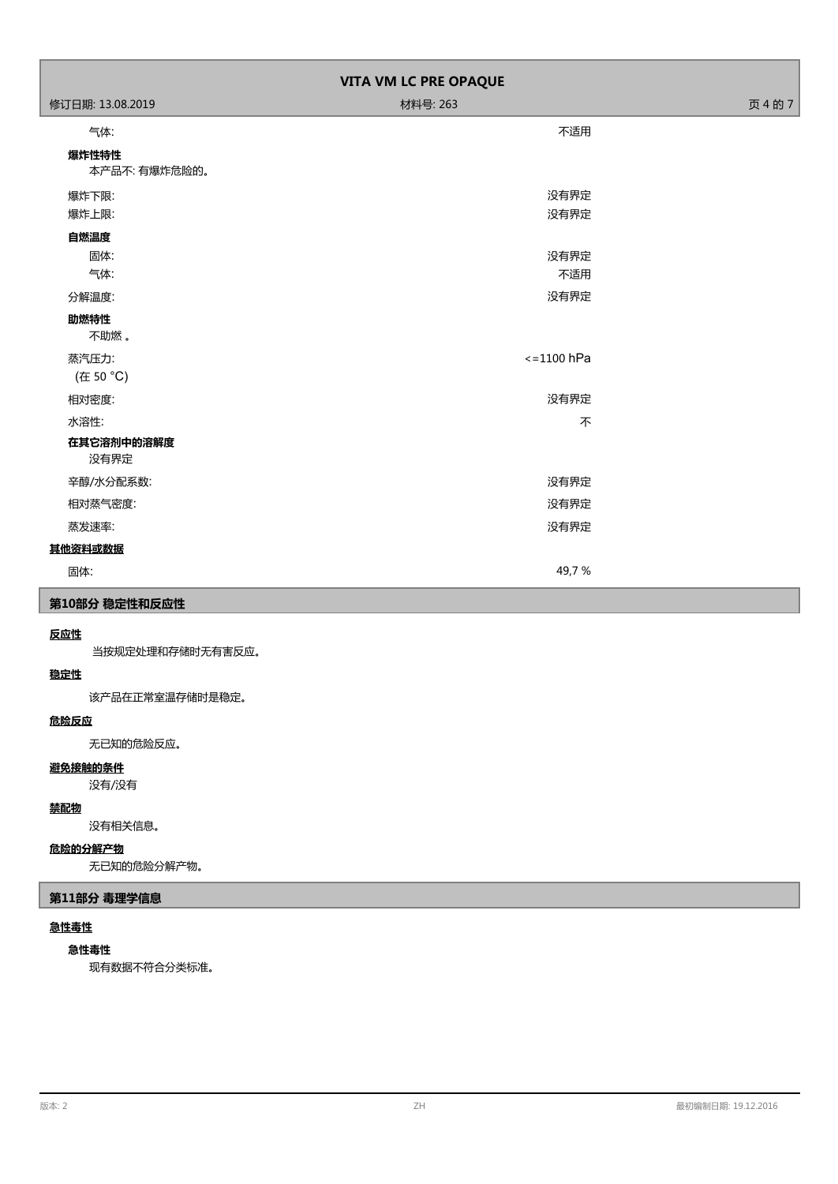| VITA VM LC PRE OPAQUE  |                      |         |  |
|------------------------|----------------------|---------|--|
| 修订日期: 13.08.2019       | 材料号: 263             | 页 4 的 7 |  |
| 气体:                    | 不适用                  |         |  |
| 爆炸性特性<br>本产品不: 有爆炸危险的。 |                      |         |  |
| 爆炸下限:                  | 没有界定                 |         |  |
| 爆炸上限:                  | 没有界定                 |         |  |
| 自燃温度                   |                      |         |  |
| 固体:                    | 没有界定                 |         |  |
| 气体:                    | 不适用                  |         |  |
| 分解温度:                  | 没有界定                 |         |  |
| 助燃特性<br>不助燃。           |                      |         |  |
| 蒸汽压力:<br>(在 50 °C)     | $\epsilon$ =1100 hPa |         |  |
| 相对密度:                  | 没有界定                 |         |  |
| 水溶性:                   | 不                    |         |  |
| 在其它溶剂中的溶解度<br>没有界定     |                      |         |  |
| 辛醇/水分配系数:              | 没有界定                 |         |  |
| 相对蒸气密度:                | 没有界定                 |         |  |
| 蒸发速率:                  | 没有界定                 |         |  |
| 其他资料或数据                |                      |         |  |
| 固体:                    | 49,7%                |         |  |

## **第10部分 稳定性和反应性**

## **反应性**

当按规定处理和存储时无有害反应。

## **稳定性**

该产品在正常室温存储时是稳定。

## **危险反应**

无已知的危险反应。

## **避免接触的条件**

没有/没有

## **禁配物**

没有相关信息。

## **危险的分解产物**

无已知的危险分解产物。

## **第11部分 毒理学信息**

## **急性毒性**

## **急性毒性**

现有数据不符合分类标准。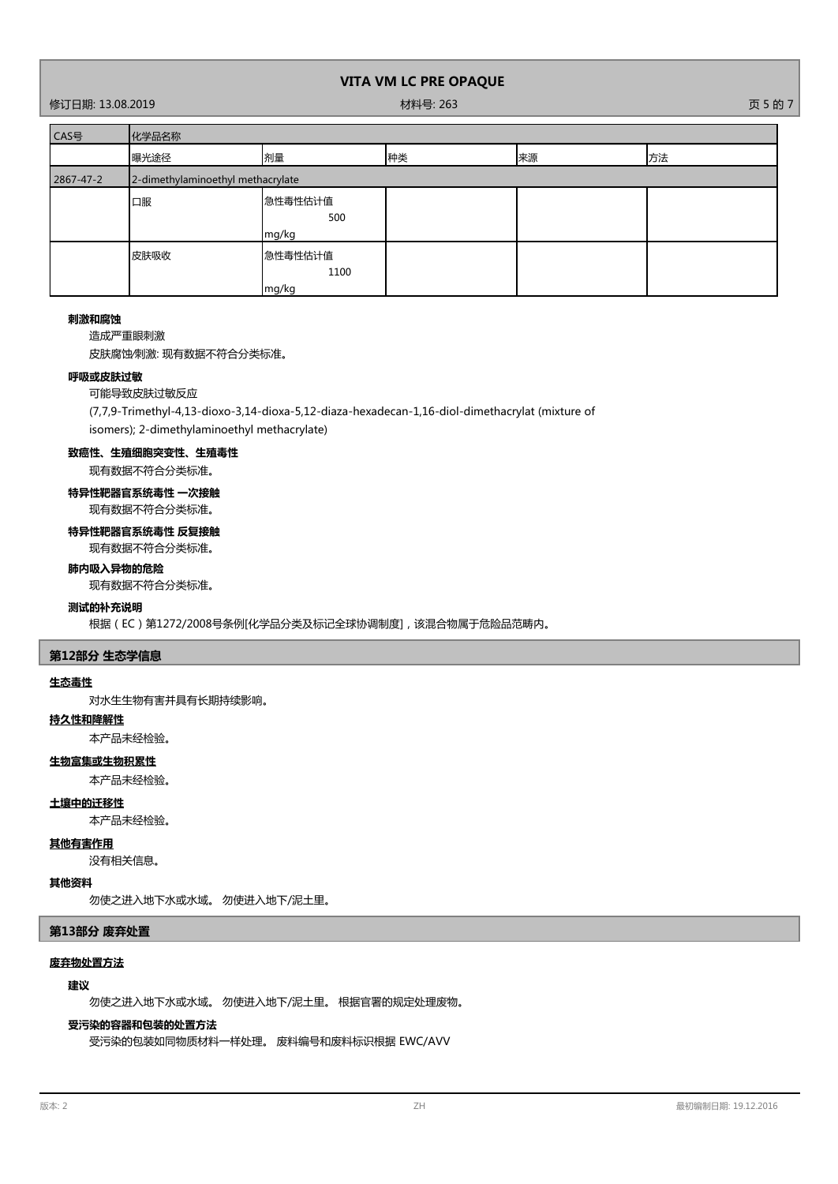修订日期: 13.08.2019 材料号: 263 页 5 的 7

| CAS号      | 化学品名称                             |                          |    |    |    |
|-----------|-----------------------------------|--------------------------|----|----|----|
|           | 曝光途径                              | 剂量                       | 种类 | 来源 | 方法 |
| 2867-47-2 | 2-dimethylaminoethyl methacrylate |                          |    |    |    |
|           | 口服                                | 急性毒性估计值<br>500<br>mg/kg  |    |    |    |
|           | 皮肤吸收                              | 急性毒性估计值<br>1100<br>mg/kg |    |    |    |

#### **刺激和腐蚀**

造成严重眼刺激

皮肤腐蚀∕刺激: 现有数据不符合分类标准。

#### **呼吸或皮肤过敏**

#### 可能导致皮肤过敏反应

(7,7,9-Trimethyl-4,13-dioxo-3,14-dioxa-5,12-diaza-hexadecan-1,16-diol-dimethacrylat (mixture of isomers); 2-dimethylaminoethyl methacrylate)

## **致癌性、生殖细胞突变性、生殖毒性**

现有数据不符合分类标准。

## **特异性靶器官系统毒性 一次接触** 现有数据不符合分类标准。

# **特异性靶器官系统毒性 反复接触**

现有数据不符合分类标准。

## **肺内吸入异物的危险**

现有数据不符合分类标准。

## **测试的补充说明**

根据(EC)第1272/2008号条例[化学品分类及标记全球协调制度],该混合物属于危险品范畴内。

#### **第12部分 生态学信息**

#### **生态毒性**

对水生生物有害并具有长期持续影响。

## **持久性和降解性**

本产品未经检验。

## **生物富集或生物积累性**

本产品未经检验。

## **土壤中的迁移性**

本产品未经检验。

#### **其他有害作用**

没有相关信息。

# **其他资料**

勿使之进入地下水或水域。 勿使进入地下/泥土里。

#### **第13部分 废弃处置**

#### **废弃物处置方法**

## **建议**

勿使之进入地下水或水域。 勿使进入地下/泥土里。 根据官署的规定处理废物。

#### **受污染的容器和包装的处置方法**

受污染的包装如同物质材料一样处理。 废料编号和废料标识根据 EWC/AVV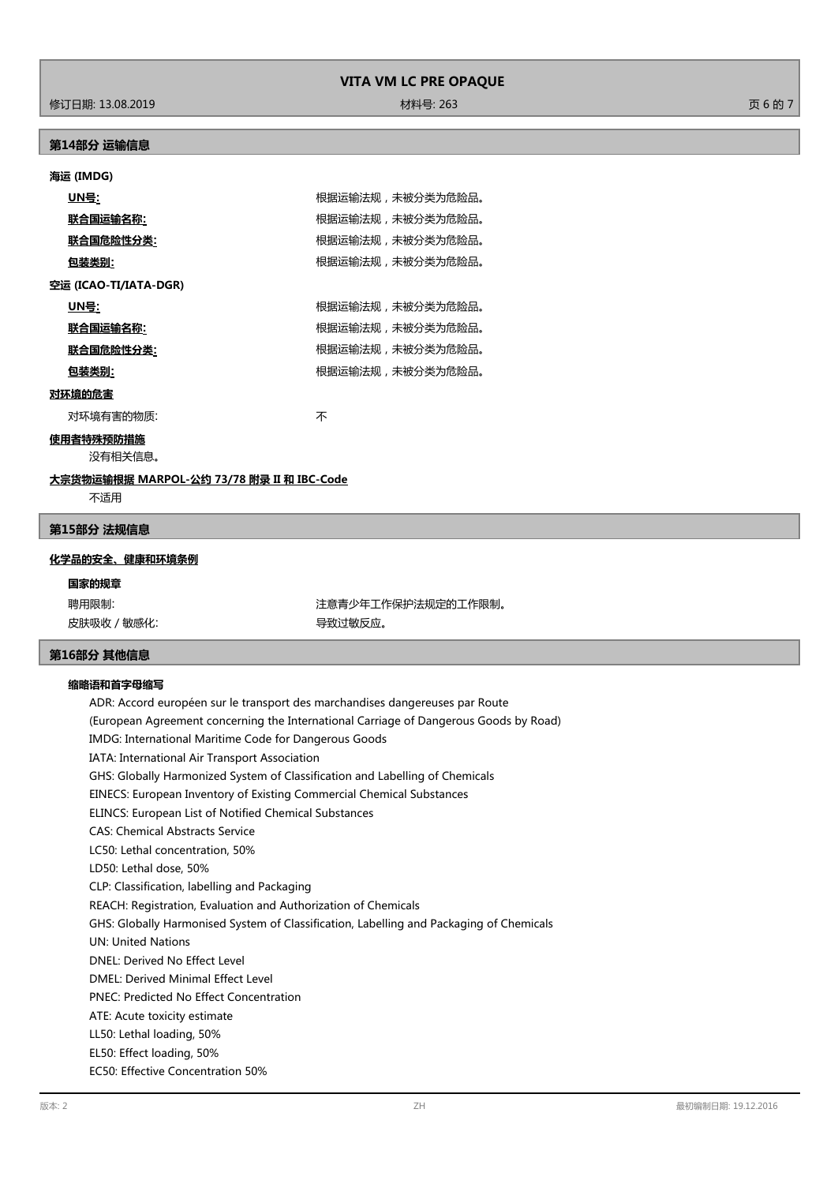修订日期: 13.08.2019 材料号: 263 页 6 的 7

## **第14部分 运输信息**

## **海运 (IMDG)**

| <u>UN号:</u>           | 根据运输法规,未被分类为危险品。 |
|-----------------------|------------------|
| 联合国运输名称:              | 根据运输法规,未被分类为危险品。 |
| 联合国危险性分类:             | 根据运输法规,未被分类为危险品。 |
| 包装类别:                 | 根据运输法规,未被分类为危险品。 |
| 空运 (ICAO-TI/IATA-DGR) |                  |
| UN号:                  | 根据运输法规,未被分类为危险品。 |
| 联合国运输名称:              | 根据运输法规,未被分类为危险品。 |
| 联合国危险性分类:             | 根据运输法规,未被分类为危险品。 |
| 包装类别:                 | 根据运输法规,未被分类为危险品。 |
| 对环境的危害                |                  |
| 对环境有害的物质:             | 不                |

**使用者特殊预防措施**

没有相关信息。

## **大宗货物运输根据 MARPOL-公约 73/78 附录 II 和 IBC-Code**

不适用

#### **第15部分 法规信息**

### **化学品的安全、健康和环境条例**

## **国家的规章**

皮肤吸收 / 敏感化: カランチン インストリック マンクロック 导致过敏反应。

聘用限制: 第六十四章 第二十四章 第二十一章 注意青少年工作保护法规定的工作限制。

## **第16部分 其他信息**

### **缩略语和首字母缩写**

ADR: Accord européen sur le transport des marchandises dangereuses par Route (European Agreement concerning the International Carriage of Dangerous Goods by Road) IMDG: International Maritime Code for Dangerous Goods IATA: International Air Transport Association GHS: Globally Harmonized System of Classification and Labelling of Chemicals EINECS: European Inventory of Existing Commercial Chemical Substances ELINCS: European List of Notified Chemical Substances CAS: Chemical Abstracts Service LC50: Lethal concentration, 50% LD50: Lethal dose, 50% CLP: Classification, labelling and Packaging REACH: Registration, Evaluation and Authorization of Chemicals GHS: Globally Harmonised System of Classification, Labelling and Packaging of Chemicals UN: United Nations DNEL: Derived No Effect Level DMEL: Derived Minimal Effect Level PNEC: Predicted No Effect Concentration ATE: Acute toxicity estimate LL50: Lethal loading, 50% EL50: Effect loading, 50% EC50: Effective Concentration 50%